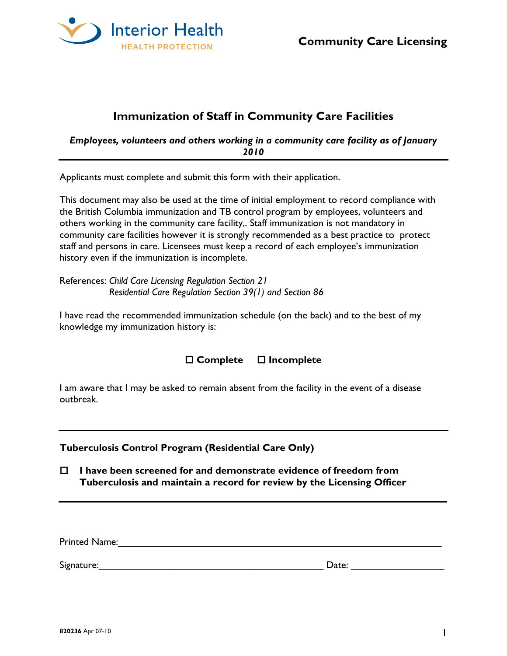

## **Immunization of Staff in Community Care Facilities**

## *Employees, volunteers and others working in a community care facility as of January 2010*

Applicants must complete and submit this form with their application.

This document may also be used at the time of initial employment to record compliance with the British Columbia immunization and TB control program by employees, volunteers and others working in the community care facility,. Staff immunization is not mandatory in community care facilities however it is strongly recommended as a best practice to protect staff and persons in care. Licensees must keep a record of each employee's immunization history even if the immunization is incomplete.

References: *Child Care Licensing Regulation Section 21 Residential Care Regulation Section 39(1) and Section 86* 

I have read the recommended immunization schedule (on the back) and to the best of my knowledge my immunization history is:

 **Complete Incomplete** 

I am aware that I may be asked to remain absent from the facility in the event of a disease outbreak.

## **Tuberculosis Control Program (Residential Care Only)**

 **I have been screened for and demonstrate evidence of freedom from Tuberculosis and maintain a record for review by the Licensing Officer** 

Printed Name:\_\_\_\_\_\_\_\_\_\_\_\_\_\_\_\_\_\_\_\_\_\_\_\_\_\_\_\_\_\_\_\_\_\_\_\_\_\_\_\_\_\_\_\_\_\_\_\_\_\_\_\_\_\_\_\_\_\_\_

Signature:\_\_\_\_\_\_\_\_\_\_\_\_\_\_\_\_\_\_\_\_\_\_\_\_\_\_\_\_\_\_\_\_\_\_\_\_\_\_\_\_\_ Date: \_\_\_\_\_\_\_\_\_\_\_\_\_\_\_\_\_